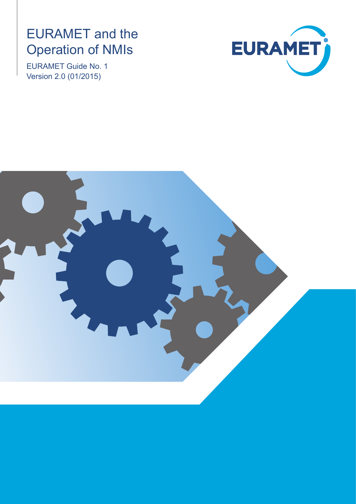# EURAMET and the Operation of NMIs

EURAMET Guide No. 1 Version 2.0 (01/2015)



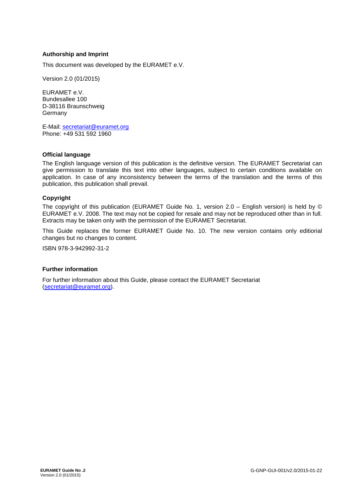#### **Authorship and Imprint**

This document was developed by the EURAMET e.V.

Version 2.0 (01/2015)

EURAMET e.V. Bundesallee 100 D-38116 Braunschweig **Germany** 

E-Mail: [secretariat@euramet.org](mailto:secretariat@euramet.org)  Phone: +49 531 592 1960

#### **Official language**

The English language version of this publication is the definitive version. The EURAMET Secretariat can give permission to translate this text into other languages, subject to certain conditions available on application. In case of any inconsistency between the terms of the translation and the terms of this publication, this publication shall prevail.

#### **Copyright**

The copyright of this publication (EURAMET Guide No. 1, version 2.0 – English version) is held by © EURAMET e.V. 2008. The text may not be copied for resale and may not be reproduced other than in full. Extracts may be taken only with the permission of the EURAMET Secretariat.

This Guide replaces the former EURAMET Guide No. 10. The new version contains only editiorial changes but no changes to content.

ISBN 978-3-942992-31-2

#### **Further information**

[For further information abo](mailto:secretariat@euramet.org)ut this Guide, please contact the EURAMET Secretariat (secretariat@euramet.org).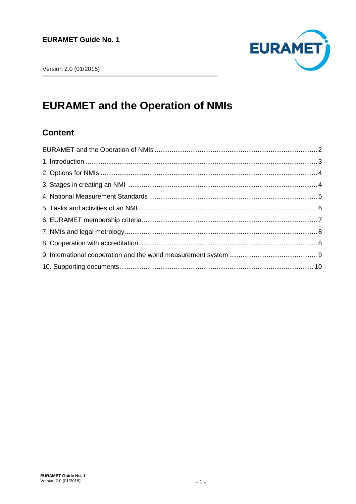

## **EURAMET and the Operation of NMIs**

### **Content**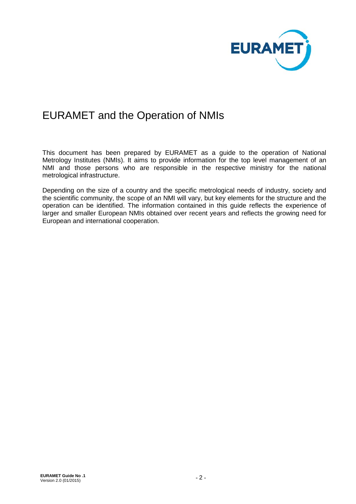

### EURAMET and the Operation of NMIs

This document has been prepared by EURAMET as a guide to the operation of National Metrology Institutes (NMIs). It aims to provide information for the top level management of an NMI and those persons who are responsible in the respective ministry for the national metrological infrastructure.

Depending on the size of a country and the specific metrological needs of industry, society and the scientific community, the scope of an NMI will vary, but key elements for the structure and the operation can be identified. The information contained in this guide reflects the experience of larger and smaller European NMIs obtained over recent years and reflects the growing need for European and international cooperation.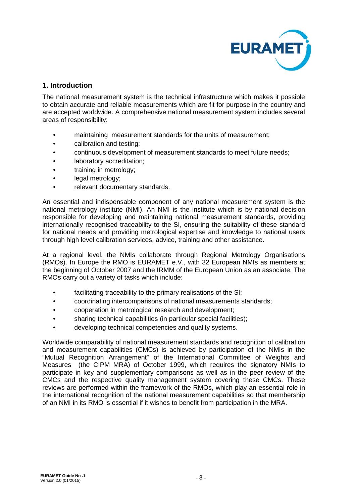

#### **1. Introduction**

The national measurement system is the technical infrastructure which makes it possible to obtain accurate and reliable measurements which are fit for purpose in the country and are accepted worldwide. A comprehensive national measurement system includes several areas of responsibility:

- maintaining measurement standards for the units of measurement;
- calibration and testing;
- continuous development of measurement standards to meet future needs;
- laboratory accreditation;
- training in metrology:
- legal metrology;
- relevant documentary standards.

An essential and indispensable component of any national measurement system is the national metrology institute (NMI). An NMI is the institute which is by national decision responsible for developing and maintaining national measurement standards, providing internationally recognised traceability to the SI, ensuring the suitability of these standard for national needs and providing metrological expertise and knowledge to national users through high level calibration services, advice, training and other assistance.

At a regional level, the NMIs collaborate through Regional Metrology Organisations (RMOs). In Europe the RMO is EURAMET e.V., with 32 European NMIs as members at the beginning of October 2007 and the IRMM of the European Union as an associate. The RMOs carry out a variety of tasks which include:

- facilitating traceability to the primary realisations of the SI:
- coordinating intercomparisons of national measurements standards;
- cooperation in metrological research and development;
- sharing technical capabilities (in particular special facilities);
- developing technical competencies and quality systems.

Worldwide comparability of national measurement standards and recognition of calibration and measurement capabilities (CMCs) is achieved by participation of the NMIs in the "Mutual Recognition Arrangement" of the International Committee of Weights and Measures (the CIPM MRA) of October 1999, which requires the signatory NMIs to participate in key and supplementary comparisons as well as in the peer review of the CMCs and the respective quality management system covering these CMCs. These reviews are performed within the framework of the RMOs, which play an essential role in the international recognition of the national measurement capabilities so that membership of an NMI in its RMO is essential if it wishes to benefit from participation in the MRA.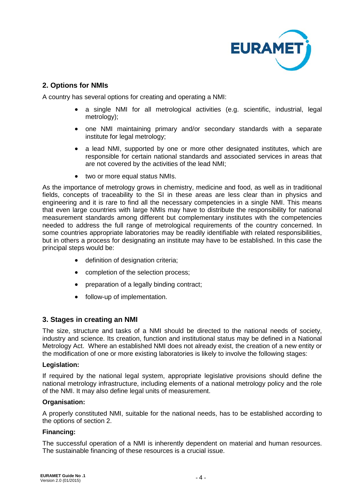

#### **2. Options for NMIs**

A country has several options for creating and operating a NMI:

- a single NMI for all metrological activities (e.g. scientific, industrial, legal metrology);
- one NMI maintaining primary and/or secondary standards with a separate institute for legal metrology;
- a lead NMI, supported by one or more other designated institutes, which are responsible for certain national standards and associated services in areas that are not covered by the activities of the lead NMI;
- two or more equal status NMIs.

As the importance of metrology grows in chemistry, medicine and food, as well as in traditional fields, concepts of traceability to the SI in these areas are less clear than in physics and engineering and it is rare to find all the necessary competencies in a single NMI. This means that even large countries with large NMIs may have to distribute the responsibility for national measurement standards among different but complementary institutes with the competencies needed to address the full range of metrological requirements of the country concerned. In some countries appropriate laboratories may be readily identifiable with related responsibilities, but in others a process for designating an institute may have to be established. In this case the principal steps would be:

- definition of designation criteria;
- completion of the selection process;
- preparation of a legally binding contract;
- follow-up of implementation.

#### **3. Stages in creating an NMI**

The size, structure and tasks of a NMI should be directed to the national needs of society, industry and science. Its creation, function and institutional status may be defined in a National Metrology Act. Where an established NMI does not already exist, the creation of a new entity or the modification of one or more existing laboratories is likely to involve the following stages:

#### **Legislation:**

If required by the national legal system, appropriate legislative provisions should define the national metrology infrastructure, including elements of a national metrology policy and the role of the NMI. It may also define legal units of measurement.

#### **Organisation:**

A properly constituted NMI, suitable for the national needs, has to be established according to the options of section 2.

#### **Financing:**

The successful operation of a NMI is inherently dependent on material and human resources. The sustainable financing of these resources is a crucial issue.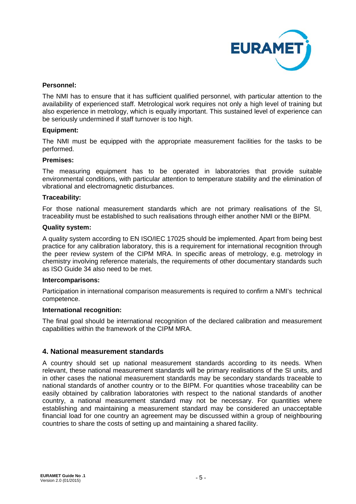

#### **Personnel:**

The NMI has to ensure that it has sufficient qualified personnel, with particular attention to the availability of experienced staff. Metrological work requires not only a high level of training but also experience in metrology, which is equally important. This sustained level of experience can be seriously undermined if staff turnover is too high.

#### **Equipment:**

The NMI must be equipped with the appropriate measurement facilities for the tasks to be performed.

#### **Premises:**

The measuring equipment has to be operated in laboratories that provide suitable environmental conditions, with particular attention to temperature stability and the elimination of vibrational and electromagnetic disturbances.

#### **Traceability:**

For those national measurement standards which are not primary realisations of the SI, traceability must be established to such realisations through either another NMI or the BIPM.

#### **Quality system:**

A quality system according to EN ISO/IEC 17025 should be implemented. Apart from being best practice for any calibration laboratory, this is a requirement for international recognition through the peer review system of the CIPM MRA. In specific areas of metrology, e.g. metrology in chemistry involving reference materials, the requirements of other documentary standards such as ISO Guide 34 also need to be met.

#### **Intercomparisons:**

Participation in international comparison measurements is required to confirm a NMI's technical competence.

#### **International recognition:**

The final goal should be international recognition of the declared calibration and measurement capabilities within the framework of the CIPM MRA.

#### **4. National measurement standards**

A country should set up national measurement standards according to its needs. When relevant, these national measurement standards will be primary realisations of the SI units, and in other cases the national measurement standards may be secondary standards traceable to national standards of another country or to the BIPM. For quantities whose traceability can be easily obtained by calibration laboratories with respect to the national standards of another country, a national measurement standard may not be necessary. For quantities where establishing and maintaining a measurement standard may be considered an unacceptable financial load for one country an agreement may be discussed within a group of neighbouring countries to share the costs of setting up and maintaining a shared facility.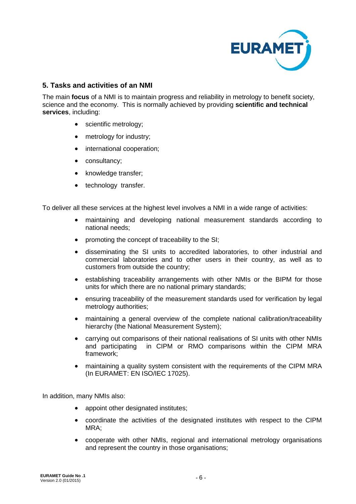

#### **5. Tasks and activities of an NMI**

The main **focus** of a NMI is to maintain progress and reliability in metrology to benefit society, science and the economy. This is normally achieved by providing **scientific and technical services**, including:

- scientific metrology;
- metrology for industry;
- international cooperation;
- consultancy;
- knowledge transfer;
- technology transfer.

To deliver all these services at the highest level involves a NMI in a wide range of activities:

- maintaining and developing national measurement standards according to national needs;
- promoting the concept of traceability to the SI:
- disseminating the SI units to accredited laboratories, to other industrial and commercial laboratories and to other users in their country, as well as to customers from outside the country;
- establishing traceability arrangements with other NMIs or the BIPM for those units for which there are no national primary standards;
- ensuring traceability of the measurement standards used for verification by legal metrology authorities;
- maintaining a general overview of the complete national calibration/traceability hierarchy (the National Measurement System);
- carrying out comparisons of their national realisations of SI units with other NMIs and participating in CIPM or RMO comparisons within the CIPM MRA framework;
- maintaining a quality system consistent with the requirements of the CIPM MRA (In EURAMET: EN ISO/IEC 17025).

In addition, many NMIs also:

- appoint other designated institutes:
- coordinate the activities of the designated institutes with respect to the CIPM MRA;
- cooperate with other NMIs, regional and international metrology organisations and represent the country in those organisations;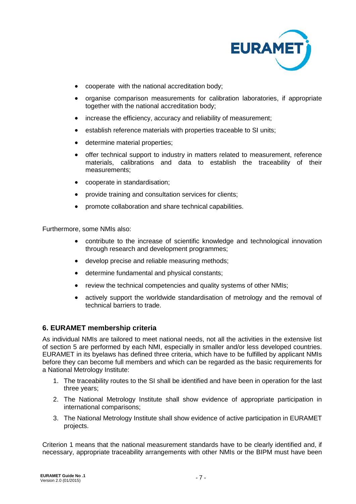

- cooperate with the national accreditation body;
- organise comparison measurements for calibration laboratories, if appropriate together with the national accreditation body;
- increase the efficiency, accuracy and reliability of measurement;
- establish reference materials with properties traceable to SI units;
- determine material properties;
- offer technical support to industry in matters related to measurement, reference materials, calibrations and data to establish the traceability of their measurements;
- cooperate in standardisation;
- provide training and consultation services for clients:
- promote collaboration and share technical capabilities.

Furthermore, some NMIs also:

- contribute to the increase of scientific knowledge and technological innovation through research and development programmes;
- develop precise and reliable measuring methods;
- determine fundamental and physical constants;
- review the technical competencies and quality systems of other NMIs;
- actively support the worldwide standardisation of metrology and the removal of technical barriers to trade.

#### **6. EURAMET membership criteria**

As individual NMIs are tailored to meet national needs, not all the activities in the extensive list of section 5 are performed by each NMI, especially in smaller and/or less developed countries. EURAMET in its byelaws has defined three criteria, which have to be fulfilled by applicant NMIs before they can become full members and which can be regarded as the basic requirements for a National Metrology Institute:

- 1. The traceability routes to the SI shall be identified and have been in operation for the last three years;
- 2. The National Metrology Institute shall show evidence of appropriate participation in international comparisons;
- 3. The National Metrology Institute shall show evidence of active participation in EURAMET projects.

Criterion 1 means that the national measurement standards have to be clearly identified and, if necessary, appropriate traceability arrangements with other NMIs or the BIPM must have been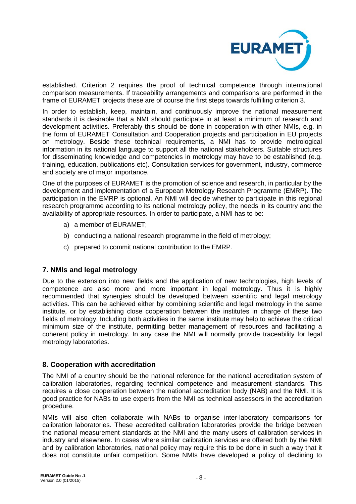

established. Criterion 2 requires the proof of technical competence through international comparison measurements. If traceability arrangements and comparisons are performed in the frame of EURAMET projects these are of course the first steps towards fulfilling criterion 3.

In order to establish, keep, maintain, and continuously improve the national measurement standards it is desirable that a NMI should participate in at least a minimum of research and development activities. Preferably this should be done in cooperation with other NMIs, e.g. in the form of EURAMET Consultation and Cooperation projects and participation in EU projects on metrology. Beside these technical requirements, a NMI has to provide metrological information in its national language to support all the national stakeholders. Suitable structures for disseminating knowledge and competencies in metrology may have to be established (e.g. training, education, publications etc). Consultation services for government, industry, commerce and society are of major importance.

One of the purposes of EURAMET is the promotion of science and research, in particular by the development and implementation of a European Metrology Research Programme (EMRP). The participation in the EMRP is optional. An NMI will decide whether to participate in this regional research programme according to its national metrology policy, the needs in its country and the availability of appropriate resources. In order to participate, a NMI has to be:

- a) a member of EURAMET;
- b) conducting a national research programme in the field of metrology;
- c) prepared to commit national contribution to the EMRP.

#### **7. NMIs and legal metrology**

Due to the extension into new fields and the application of new technologies, high levels of competence are also more and more important in legal metrology. Thus it is highly recommended that synergies should be developed between scientific and legal metrology activities. This can be achieved either by combining scientific and legal metrology in the same institute, or by establishing close cooperation between the institutes in charge of these two fields of metrology. Including both activities in the same institute may help to achieve the critical minimum size of the institute, permitting better management of resources and facilitating a coherent policy in metrology. In any case the NMI will normally provide traceability for legal metrology laboratories.

#### **8. Cooperation with accreditation**

The NMI of a country should be the national reference for the national accreditation system of calibration laboratories, regarding technical competence and measurement standards. This requires a close cooperation between the national accreditation body (NAB) and the NMI. It is good practice for NABs to use experts from the NMI as technical assessors in the accreditation procedure.

NMIs will also often collaborate with NABs to organise inter-laboratory comparisons for calibration laboratories. These accredited calibration laboratories provide the bridge between the national measurement standards at the NMI and the many users of calibration services in industry and elsewhere. In cases where similar calibration services are offered both by the NMI and by calibration laboratories, national policy may require this to be done in such a way that it does not constitute unfair competition. Some NMIs have developed a policy of declining to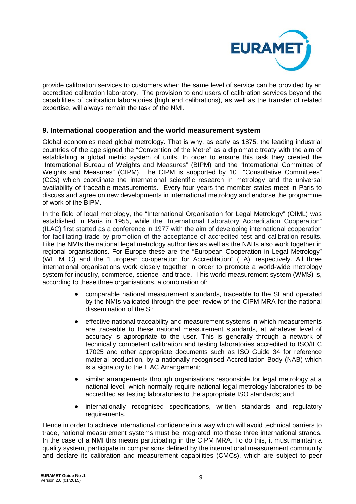

provide calibration services to customers when the same level of service can be provided by an accredited calibration laboratory. The provision to end users of calibration services beyond the capabilities of calibration laboratories (high end calibrations), as well as the transfer of related expertise, will always remain the task of the NMI.

#### **9. International cooperation and the world measurement system**

Global economies need global metrology. That is why, as early as 1875, the leading industrial countries of the age signed the "Convention of the Metre" as a diplomatic treaty with the aim of establishing a global metric system of units. In order to ensure this task they created the "International Bureau of Weights and Measures" (BIPM) and the "International Committee of Weights and Measures" (CIPM). The CIPM is supported by 10 "Consultative Committees" (CCs) which coordinate the international scientific research in metrology and the universal availability of traceable measurements. Every four years the member states meet in Paris to discuss and agree on new developments in international metrology and endorse the programme of work of the BIPM.

In the field of legal metrology, the "International Organisation for Legal Metrology" (OIML) was established in Paris in 1955, while the "International Laboratory Accreditation Cooperation" (ILAC) first started as a conference in 1977 with the aim of developing international cooperation for facilitating trade by promotion of the acceptance of accredited test and calibration results. Like the NMIs the national legal metrology authorities as well as the NABs also work together in regional organisations. For Europe these are the "European Cooperation in Legal Metrology" (WELMEC) and the "European co-operation for Accreditation" (EA), respectively. All three international organisations work closely together in order to promote a world-wide metrology system for industry, commerce, science and trade. This world measurement system (WMS) is, according to these three organisations, a combination of:

- comparable national measurement standards, traceable to the SI and operated by the NMIs validated through the peer review of the CIPM MRA for the national dissemination of the SI;
- effective national traceability and measurement systems in which measurements are traceable to these national measurement standards, at whatever level of accuracy is appropriate to the user. This is generally through a network of technically competent calibration and testing laboratories accredited to ISO/IEC 17025 and other appropriate documents such as ISO Guide 34 for reference material production, by a nationally recognised Accreditation Body (NAB) which is a signatory to the ILAC Arrangement;
- similar arrangements through organisations responsible for legal metrology at a national level, which normally require national legal metrology laboratories to be accredited as testing laboratories to the appropriate ISO standards; and
- internationally recognised specifications, written standards and regulatory requirements.

Hence in order to achieve international confidence in a way which will avoid technical barriers to trade, national measurement systems must be integrated into these three international strands. In the case of a NMI this means participating in the CIPM MRA. To do this, it must maintain a quality system, participate in comparisons defined by the international measurement community and declare its calibration and measurement capabilities (CMCs), which are subject to peer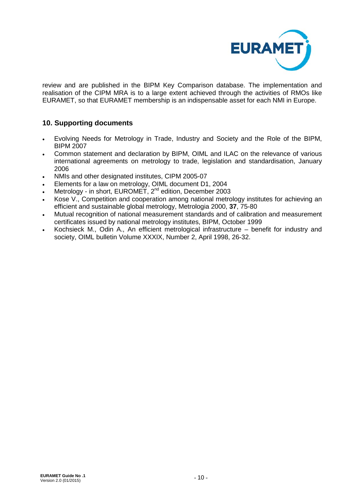

review and are published in the BIPM Key Comparison database. The implementation and realisation of the CIPM MRA is to a large extent achieved through the activities of RMOs like EURAMET, so that EURAMET membership is an indispensable asset for each NMI in Europe.

#### **10. Supporting documents**

- Evolving Needs for Metrology in Trade, Industry and Society and the Role of the BIPM, BIPM 2007
- Common statement and declaration by BIPM, OIML and ILAC on the relevance of various international agreements on metrology to trade, legislation and standardisation, January 2006
- NMIs and other designated institutes, CIPM 2005-07
- Elements for a law on metrology, OIML document D1, 2004
- Metrology in short, EUROMET, 2<sup>nd</sup> edition, December 2003
- Kose V., Competition and cooperation among national metrology institutes for achieving an efficient and sustainable global metrology, Metrologia 2000, **37**, 75-80
- Mutual recognition of national measurement standards and of calibration and measurement certificates issued by national metrology institutes, BIPM, October 1999
- Kochsieck M., Odin A., An efficient metrological infrastructure benefit for industry and society, OIML bulletin Volume XXXIX, Number 2, April 1998, 26-32.